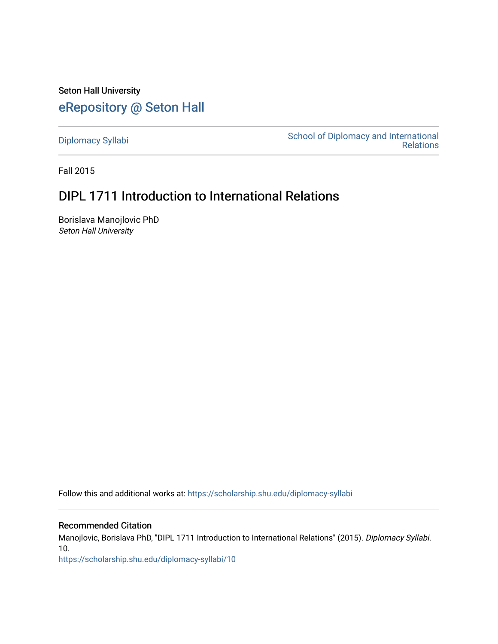Seton Hall University [eRepository @ Seton Hall](https://scholarship.shu.edu/)

[Diplomacy Syllabi](https://scholarship.shu.edu/diplomacy-syllabi) [School of Diplomacy and International](https://scholarship.shu.edu/diplomacy)  [Relations](https://scholarship.shu.edu/diplomacy) 

Fall 2015

# DIPL 1711 Introduction to International Relations

Borislava Manojlovic PhD Seton Hall University

Follow this and additional works at: [https://scholarship.shu.edu/diplomacy-syllabi](https://scholarship.shu.edu/diplomacy-syllabi?utm_source=scholarship.shu.edu%2Fdiplomacy-syllabi%2F10&utm_medium=PDF&utm_campaign=PDFCoverPages) 

# Recommended Citation

Manojlovic, Borislava PhD, "DIPL 1711 Introduction to International Relations" (2015). Diplomacy Syllabi. 10.

[https://scholarship.shu.edu/diplomacy-syllabi/10](https://scholarship.shu.edu/diplomacy-syllabi/10?utm_source=scholarship.shu.edu%2Fdiplomacy-syllabi%2F10&utm_medium=PDF&utm_campaign=PDFCoverPages)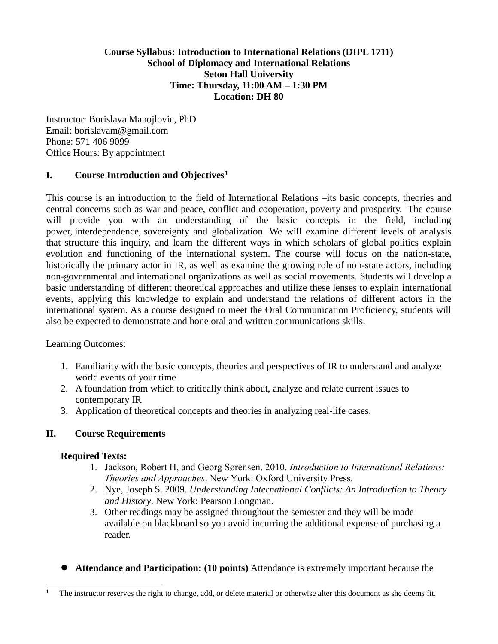# **Course Syllabus: Introduction to International Relations (DIPL 1711) School of Diplomacy and International Relations Seton Hall University Time: Thursday, 11:00 AM – 1:30 PM Location: DH 80**

Instructor: Borislava Manojlovic, PhD Email: borislavam@gmail.com Phone: 571 406 9099 Office Hours: By appointment

# **I. Course Introduction and Objectives<sup>1</sup>**

This course is an introduction to the field of International Relations –its basic concepts, theories and central concerns such as war and peace, conflict and cooperation, poverty and prosperity. The course will provide you with an understanding of the basic concepts in the field, including power, interdependence, sovereignty and globalization. We will examine different levels of analysis that structure this inquiry, and learn the different ways in which scholars of global politics explain evolution and functioning of the international system. The course will focus on the nation-state, historically the primary actor in IR, as well as examine the growing role of non-state actors, including non-governmental and international organizations as well as social movements. Students will develop a basic understanding of different theoretical approaches and utilize these lenses to explain international events, applying this knowledge to explain and understand the relations of different actors in the international system. As a course designed to meet the Oral Communication Proficiency, students will also be expected to demonstrate and hone oral and written communications skills.

Learning Outcomes:

- 1. Familiarity with the basic concepts, theories and perspectives of IR to understand and analyze world events of your time
- 2. A foundation from which to critically think about, analyze and relate current issues to contemporary IR
- 3. Application of theoretical concepts and theories in analyzing real-life cases.

# **II. Course Requirements**

# **Required Texts:**

 $\overline{a}$ 

- 1. Jackson, Robert H, and Georg Sørensen. 2010. *Introduction to International Relations: Theories and Approaches*. New York: Oxford University Press.
- 2. Nye, Joseph S. 2009. *Understanding International Conflicts: An Introduction to Theory and History*. New York: Pearson Longman.
- 3. Other readings may be assigned throughout the semester and they will be made available on blackboard so you avoid incurring the additional expense of purchasing a reader.
- ⚫ **Attendance and Participation: (10 points)** Attendance is extremely important because the

The instructor reserves the right to change, add, or delete material or otherwise alter this document as she deems fit.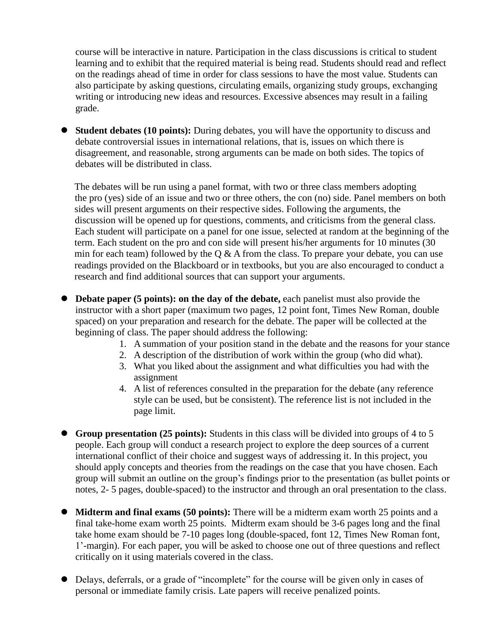course will be interactive in nature. Participation in the class discussions is critical to student learning and to exhibit that the required material is being read. Students should read and reflect on the readings ahead of time in order for class sessions to have the most value. Students can also participate by asking questions, circulating emails, organizing study groups, exchanging writing or introducing new ideas and resources. Excessive absences may result in a failing grade.

⚫ **Student debates (10 points):** During debates, you will have the opportunity to discuss and debate controversial issues in international relations, that is, issues on which there is disagreement, and reasonable, strong arguments can be made on both sides. The topics of debates will be distributed in class.

The debates will be run using a panel format, with two or three class members adopting the pro (yes) side of an issue and two or three others, the con (no) side. Panel members on both sides will present arguments on their respective sides. Following the arguments, the discussion will be opened up for questions, comments, and criticisms from the general class. Each student will participate on a panel for one issue, selected at random at the beginning of the term. Each student on the pro and con side will present his/her arguments for 10 minutes (30 min for each team) followed by the Q  $\&$  A from the class. To prepare your debate, you can use readings provided on the Blackboard or in textbooks, but you are also encouraged to conduct a research and find additional sources that can support your arguments.

- ⚫ **Debate paper (5 points): on the day of the debate,** each panelist must also provide the instructor with a short paper (maximum two pages, 12 point font, Times New Roman, double spaced) on your preparation and research for the debate. The paper will be collected at the beginning of class. The paper should address the following:
	- 1. A summation of your position stand in the debate and the reasons for your stance
	- 2. A description of the distribution of work within the group (who did what).
	- 3. What you liked about the assignment and what difficulties you had with the assignment
	- 4. A list of references consulted in the preparation for the debate (any reference style can be used, but be consistent). The reference list is not included in the page limit.
- **Group presentation (25 points):** Students in this class will be divided into groups of 4 to 5 people. Each group will conduct a research project to explore the deep sources of a current international conflict of their choice and suggest ways of addressing it. In this project, you should apply concepts and theories from the readings on the case that you have chosen. Each group will submit an outline on the group's findings prior to the presentation (as bullet points or notes, 2- 5 pages, double-spaced) to the instructor and through an oral presentation to the class.
- ⚫ **Midterm and final exams (50 points):** There will be a midterm exam worth 25 points and a final take-home exam worth 25 points. Midterm exam should be 3-6 pages long and the final take home exam should be 7-10 pages long (double-spaced, font 12, Times New Roman font, 1'-margin). For each paper, you will be asked to choose one out of three questions and reflect critically on it using materials covered in the class.
- ⚫ Delays, deferrals, or a grade of "incomplete" for the course will be given only in cases of personal or immediate family crisis. Late papers will receive penalized points.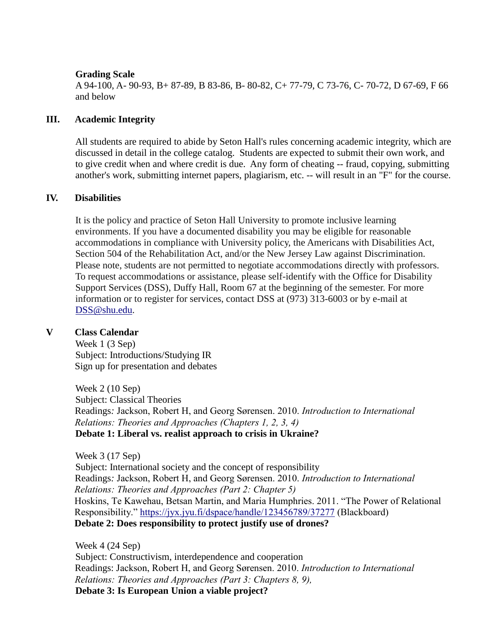#### **Grading Scale**

A 94-100, A- 90-93, B+ 87-89, B 83-86, B- 80-82, C+ 77-79, C 73-76, C- 70-72, D 67-69, F 66 and below

# **III. Academic Integrity**

All students are required to abide by Seton Hall's rules concerning academic integrity, which are discussed in detail in the college catalog. Students are expected to submit their own work, and to give credit when and where credit is due. Any form of cheating -- fraud, copying, submitting another's work, submitting internet papers, plagiarism, etc. -- will result in an "F" for the course.

#### **IV. Disabilities**

It is the policy and practice of Seton Hall University to promote inclusive learning environments. If you have a documented disability you may be eligible for reasonable accommodations in compliance with University policy, the Americans with Disabilities Act, Section 504 of the Rehabilitation Act, and/or the New Jersey Law against Discrimination. Please note, students are not permitted to negotiate accommodations directly with professors. To request accommodations or assistance, please self-identify with the Office for Disability Support Services (DSS), Duffy Hall, Room 67 at the beginning of the semester. For more information or to register for services, contact DSS at (973) 313-6003 or by e-mail at [DSS@shu.edu.](mailto:DSS@shu.edu)

# **V Class Calendar**

Week 1 (3 Sep) Subject: Introductions/Studying IR Sign up for presentation and debates

Week 2 (10 Sep) Subject: Classical Theories Readings*:* Jackson, Robert H, and Georg Sørensen. 2010. *Introduction to International Relations: Theories and Approaches (Chapters 1, 2, 3, 4)* **Debate 1: Liberal vs. realist approach to crisis in Ukraine?**

Week 3 (17 Sep) Subject: International society and the concept of responsibility Readings*:* Jackson, Robert H, and Georg Sørensen. 2010. *Introduction to International Relations: Theories and Approaches (Part 2: Chapter 5)* Hoskins, Te Kawehau, Betsan Martin, and Maria Humphries. 2011. "The Power of Relational Responsibility." <https://jyx.jyu.fi/dspace/handle/123456789/37277> (Blackboard) **Debate 2: Does responsibility to protect justify use of drones?**

Week 4 (24 Sep)

Subject: Constructivism, interdependence and cooperation Readings: Jackson, Robert H, and Georg Sørensen. 2010. *Introduction to International Relations: Theories and Approaches (Part 3: Chapters 8, 9),*  **Debate 3: Is European Union a viable project?**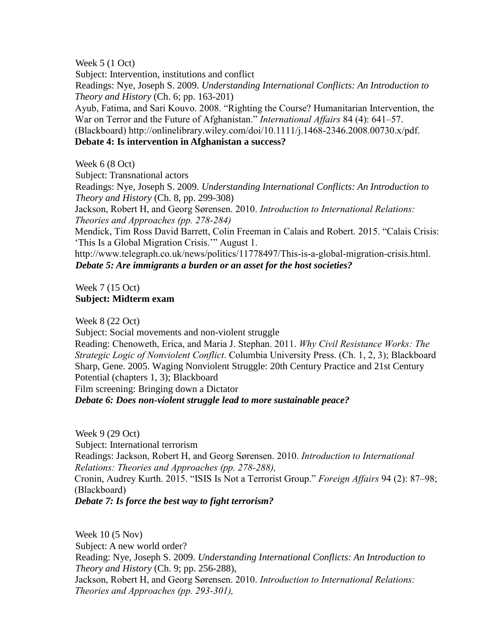Week 5 (1 Oct)

Subject: Intervention, institutions and conflict Readings: Nye, Joseph S. 2009. *Understanding International Conflicts: An Introduction to Theory and History* (Ch. 6; pp. 163-201) Ayub, Fatima, and Sari Kouvo. 2008. "Righting the Course? Humanitarian Intervention, the War on Terror and the Future of Afghanistan." *International Affairs* 84 (4): 641–57.

(Blackboard) http://onlinelibrary.wiley.com/doi/10.1111/j.1468-2346.2008.00730.x/pdf.

# **Debate 4: Is intervention in Afghanistan a success?**

Week 6 (8 Oct)

Subject: Transnational actors

Readings: Nye, Joseph S. 2009. *Understanding International Conflicts: An Introduction to Theory and History* (Ch. 8, pp. 299-308)

Jackson, Robert H, and Georg Sørensen. 2010. *Introduction to International Relations: Theories and Approaches (pp. 278-284)*

Mendick, Tim Ross David Barrett, Colin Freeman in Calais and Robert. 2015. "Calais Crisis: 'This Is a Global Migration Crisis.'" August 1.

http://www.telegraph.co.uk/news/politics/11778497/This-is-a-global-migration-crisis.html. *Debate 5: Are immigrants a burden or an asset for the host societies?* 

Week 7 (15 Oct) **Subject: Midterm exam**

Week 8 (22 Oct)

Subject: Social movements and non-violent struggle

Reading: Chenoweth, Erica, and Maria J. Stephan. 2011. *Why Civil Resistance Works: The Strategic Logic of Nonviolent Conflict*. Columbia University Press. (Ch. 1, 2, 3); Blackboard Sharp, Gene. 2005. Waging Nonviolent Struggle: 20th Century Practice and 21st Century Potential (chapters 1, 3); Blackboard

Film screening: Bringing down a Dictator

*Debate 6: Does non-violent struggle lead to more sustainable peace?*

Week 9 (29 Oct) Subject: International terrorism Readings: Jackson, Robert H, and Georg Sørensen. 2010. *Introduction to International Relations: Theories and Approaches (pp. 278-288),*  Cronin, Audrey Kurth. 2015. "ISIS Is Not a Terrorist Group." *Foreign Affairs* 94 (2): 87–98; (Blackboard) *Debate 7: Is force the best way to fight terrorism?* 

Week 10 (5 Nov) Subject: A new world order? Reading: Nye, Joseph S. 2009. *Understanding International Conflicts: An Introduction to Theory and History* (Ch. 9; pp. 256-288), Jackson, Robert H, and Georg Sørensen. 2010. *Introduction to International Relations: Theories and Approaches (pp. 293-301),*